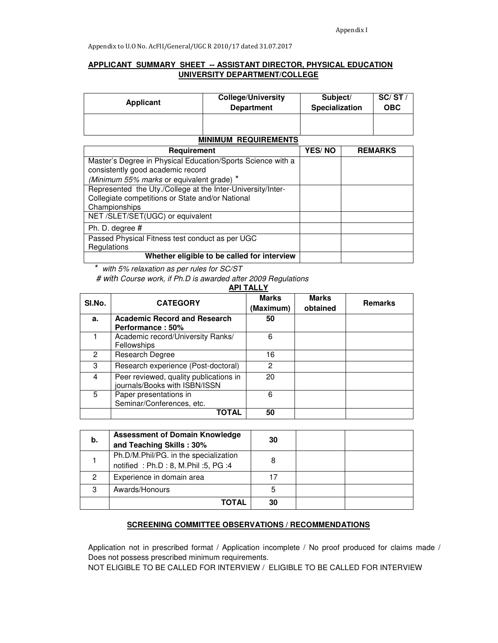## **APPLICANT SUMMARY SHEET -- ASSISTANT DIRECTOR, PHYSICAL EDUCATION UNIVERSITY DEPARTMENT/COLLEGE**

| Applicant                   | <b>College/University</b><br><b>Department</b> | Subject/<br>Specialization | SC/ST/<br><b>OBC</b> |  |
|-----------------------------|------------------------------------------------|----------------------------|----------------------|--|
|                             |                                                |                            |                      |  |
| <b>MINIMUM REQUIREMENTS</b> |                                                |                            |                      |  |

# **Requirement YES/ NO REMARKS** Master's Degree in Physical Education/Sports Science with a consistently good academic record (Minimum 55% marks or equivalent grade)<sup>\*</sup> Represented the Uty./College at the Inter-University/Inter-Collegiate competitions or State and/or National Championships NET /SLET/SET(UGC) or equivalent Ph. D. degree # Passed Physical Fitness test conduct as per UGC **Regulations Whether eligible to be called for interview**

\* with 5% relaxation as per rules for SC/ST

# with Course work, if Ph.D is awarded after 2009 Regulations

#### **API TALLY**

| SI.No. | <b>CATEGORY</b>                                                         | <b>Marks</b><br>(Maximum) | <b>Marks</b><br>obtained | <b>Remarks</b> |
|--------|-------------------------------------------------------------------------|---------------------------|--------------------------|----------------|
| а.     | <b>Academic Record and Research</b><br>Performance: 50%                 | 50                        |                          |                |
|        | Academic record/University Ranks/<br>Fellowships                        | 6                         |                          |                |
| 2      | Research Degree                                                         | 16                        |                          |                |
| 3      | Research experience (Post-doctoral)                                     | 2                         |                          |                |
| 4      | Peer reviewed, quality publications in<br>journals/Books with ISBN/ISSN | 20                        |                          |                |
| 5      | Paper presentations in<br>Seminar/Conferences, etc.                     | 6                         |                          |                |
|        | ΤΟΤΑL                                                                   | 50                        |                          |                |

| b. | <b>Assessment of Domain Knowledge</b><br>and Teaching Skills: 30%                | 30 |  |
|----|----------------------------------------------------------------------------------|----|--|
|    | Ph.D/M.Phil/PG. in the specialization<br>notified : Ph.D : 8, M.Phil : 5, PG : 4 |    |  |
|    | Experience in domain area                                                        |    |  |
| 3  | Awards/Honours                                                                   |    |  |
|    | TOTAL                                                                            | 30 |  |

### **SCREENING COMMITTEE OBSERVATIONS / RECOMMENDATIONS**

Application not in prescribed format / Application incomplete / No proof produced for claims made / Does not possess prescribed minimum requirements.

NOT ELIGIBLE TO BE CALLED FOR INTERVIEW / ELIGIBLE TO BE CALLED FOR INTERVIEW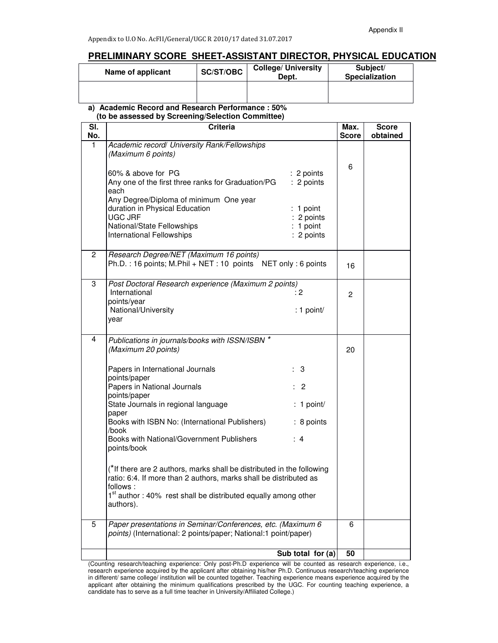# **PRELIMINARY SCORE SHEET-ASSISTANT DIRECTOR, PHYSICAL EDUCATION**

| Name of applicant | <b>SC/ST/OBC</b> | <b>College/ University</b><br>Dept. | Subject/<br><b>Specialization</b> |
|-------------------|------------------|-------------------------------------|-----------------------------------|
|                   |                  |                                     |                                   |

#### **a) Academic Record and Research Performance : 50% (to be assessed by Screening/Selection Committee)**

| SI.<br>No.   | <b>Criteria</b>                                                                                                                                                                                                        | Max.<br><b>Score</b> | <b>Score</b><br>obtained |
|--------------|------------------------------------------------------------------------------------------------------------------------------------------------------------------------------------------------------------------------|----------------------|--------------------------|
| $\mathbf{1}$ | Academic record/ University Rank/Fellowships<br>(Maximum 6 points)                                                                                                                                                     |                      |                          |
|              | 60% & above for PG<br>: 2 points<br>Any one of the first three ranks for Graduation/PG<br>: 2 points<br>each                                                                                                           | 6                    |                          |
|              | Any Degree/Diploma of minimum One year<br>duration in Physical Education<br>$: 1$ point<br><b>UGC JRF</b><br>: 2 points<br>National/State Fellowships<br>$: 1$ point<br><b>International Fellowships</b><br>: 2 points |                      |                          |
| 2            | Research Degree/NET (Maximum 16 points)<br>Ph.D.: 16 points; M.Phil + NET: 10 points NET only: 6 points                                                                                                                | 16                   |                          |
| 3            | Post Doctoral Research experience (Maximum 2 points)<br>International<br>$\cdot$ 2<br>points/year<br>National/University<br>: 1 point/<br>year                                                                         | 2                    |                          |
| 4            | Publications in journals/books with ISSN/ISBN *<br>(Maximum 20 points)                                                                                                                                                 | 20                   |                          |
|              | Papers in International Journals<br>$\therefore$ 3<br>points/paper<br>Papers in National Journals<br>$\therefore$ 2                                                                                                    |                      |                          |
|              | points/paper<br>State Journals in regional language<br>$: 1$ point/<br>paper                                                                                                                                           |                      |                          |
|              | Books with ISBN No: (International Publishers)<br>: 8 points<br>/book                                                                                                                                                  |                      |                          |
|              | Books with National/Government Publishers<br>: 4<br>points/book                                                                                                                                                        |                      |                          |
|              | (*If there are 2 authors, marks shall be distributed in the following<br>ratio: 6:4. If more than 2 authors, marks shall be distributed as<br>follows:                                                                 |                      |                          |
|              | 1 <sup>st</sup> author : 40% rest shall be distributed equally among other<br>authors).                                                                                                                                |                      |                          |
| 5            | Paper presentations in Seminar/Conferences, etc. (Maximum 6<br>points) (International: 2 points/paper; National:1 point/paper)                                                                                         | 6                    |                          |
|              | Sub total for (a)                                                                                                                                                                                                      | 50                   |                          |

(Counting research/teaching experience: Only post-Ph.D experience will be counted as research experience, i.e., research experience acquired by the applicant after obtaining his/her Ph.D. Continuous research/teaching experience in different/ same college/ institution will be counted together. Teaching experience means experience acquired by the applicant after obtaining the minimum qualifications prescribed by the UGC. For counting teaching experience, a candidate has to serve as a full time teacher in University/Affiliated College.)